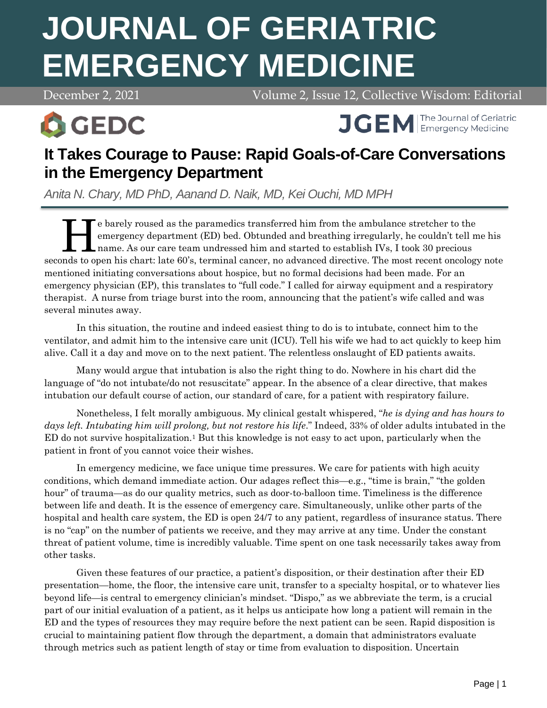# **JOURNAL OF GERIATRIC EMERGENCY MEDICINE**

December 2, 2021 Volume 2, Issue 12, Collective Wisdom: Editorial





# **It Takes Courage to Pause: Rapid Goals-of-Care Conversations in the Emergency Department**

*Anita N. Chary, MD PhD, Aanand D. Naik, MD, Kei Ouchi, MD MPH*

e barely roused as the paramedics transferred him from the ambulance stretcher to the emergency department (ED) bed. Obtunded and breathing irregularly, he couldn't tell me his name. As our care team undressed him and started to establish IVs, I took 30 precious seconds to open his chart: late 60's, terminal cancer, no advanced directive. The most recent oncology note mentioned initiating conversations about hospice, but no formal decisions had been made. For an emergency physician (EP), this translates to "full code." I called for airway equipment and a respiratory therapist. A nurse from triage burst into the room, announcing that the patient's wife called and was several minutes away. H

In this situation, the routine and indeed easiest thing to do is to intubate, connect him to the ventilator, and admit him to the intensive care unit (ICU). Tell his wife we had to act quickly to keep him alive. Call it a day and move on to the next patient. The relentless onslaught of ED patients awaits.

Many would argue that intubation is also the right thing to do. Nowhere in his chart did the language of "do not intubate/do not resuscitate" appear. In the absence of a clear directive, that makes intubation our default course of action, our standard of care, for a patient with respiratory failure.

Nonetheless, I felt morally ambiguous. My clinical gestalt whispered, "*he is dying and has hours to*  days left. Intubating him will prolong, but not restore his life." Indeed, 33% of older adults intubated in the ED do not survive hospitalization.<sup>1</sup> But this knowledge is not easy to act upon, particularly when the patient in front of you cannot voice their wishes.

In emergency medicine, we face unique time pressures. We care for patients with high acuity conditions, which demand immediate action. Our adages reflect this—e.g., "time is brain," "the golden hour" of trauma—as do our quality metrics, such as door-to-balloon time. Timeliness is the difference between life and death. It is the essence of emergency care. Simultaneously, unlike other parts of the hospital and health care system, the ED is open 24/7 to any patient, regardless of insurance status. There is no "cap" on the number of patients we receive, and they may arrive at any time. Under the constant threat of patient volume, time is incredibly valuable. Time spent on one task necessarily takes away from other tasks.

Given these features of our practice, a patient's disposition, or their destination after their ED presentation—home, the floor, the intensive care unit, transfer to a specialty hospital, or to whatever lies beyond life—is central to emergency clinician's mindset. "Dispo," as we abbreviate the term, is a crucial part of our initial evaluation of a patient, as it helps us anticipate how long a patient will remain in the ED and the types of resources they may require before the next patient can be seen. Rapid disposition is crucial to maintaining patient flow through the department, a domain that administrators evaluate through metrics such as patient length of stay or time from evaluation to disposition. Uncertain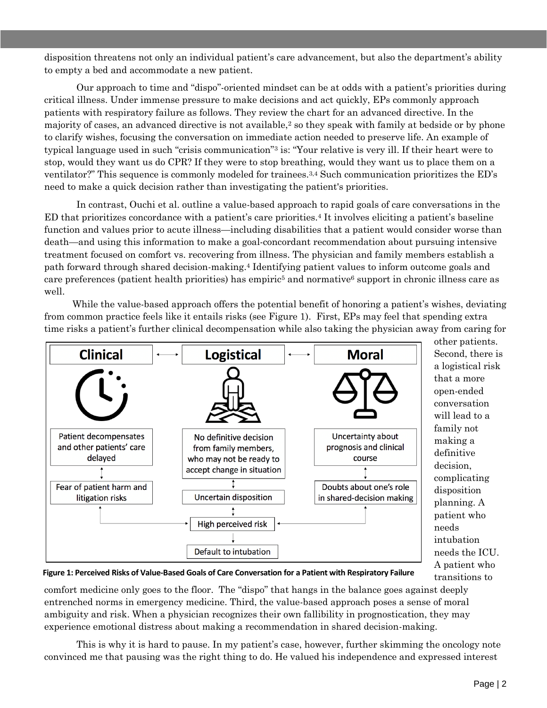disposition threatens not only an individual patient's care advancement, but also the department's ability to empty a bed and accommodate a new patient.

Our approach to time and "dispo"-oriented mindset can be at odds with a patient's priorities during critical illness. Under immense pressure to make decisions and act quickly, EPs commonly approach patients with respiratory failure as follows. They review the chart for an advanced directive. In the majority of cases, an advanced directive is not available,<sup>2</sup> so they speak with family at bedside or by phone to clarify wishes, focusing the conversation on immediate action needed to preserve life. An example of typical language used in such "crisis communication"<sup>3</sup> is: "Your relative is very ill. If their heart were to stop, would they want us do CPR? If they were to stop breathing, would they want us to place them on a ventilator?" This sequence is commonly modeled for trainees.3,4 Such communication prioritizes the ED's need to make a quick decision rather than investigating the patient's priorities.

In contrast, Ouchi et al. outline a value-based approach to rapid goals of care conversations in the ED that prioritizes concordance with a patient's care priorities.<sup>4</sup> It involves eliciting a patient's baseline function and values prior to acute illness—including disabilities that a patient would consider worse than death—and using this information to make a goal-concordant recommendation about pursuing intensive treatment focused on comfort vs. recovering from illness. The physician and family members establish a path forward through shared decision-making.<sup>4</sup> Identifying patient values to inform outcome goals and care preferences (patient health priorities) has empiric<sup>5</sup> and normative<sup>6</sup> support in chronic illness care as well.

While the value-based approach offers the potential benefit of honoring a patient's wishes, deviating from common practice feels like it entails risks (see Figure 1). First, EPs may feel that spending extra time risks a patient's further clinical decompensation while also taking the physician away from caring for



other patients. Second, there is a logistical risk that a more open-ended conversation will lead to a family not making a definitive decision, complicating disposition planning. A patient who needs intubation needs the ICU. A patient who transitions to

**Figure 1: Perceived Risks of Value-Based Goals of Care Conversation for a Patient with Respiratory Failure**

comfort medicine only goes to the floor. The "dispo" that hangs in the balance goes against deeply entrenched norms in emergency medicine. Third, the value-based approach poses a sense of moral ambiguity and risk. When a physician recognizes their own fallibility in prognostication, they may experience emotional distress about making a recommendation in shared decision-making.

This is why it is hard to pause. In my patient's case, however, further skimming the oncology note convinced me that pausing was the right thing to do. He valued his independence and expressed interest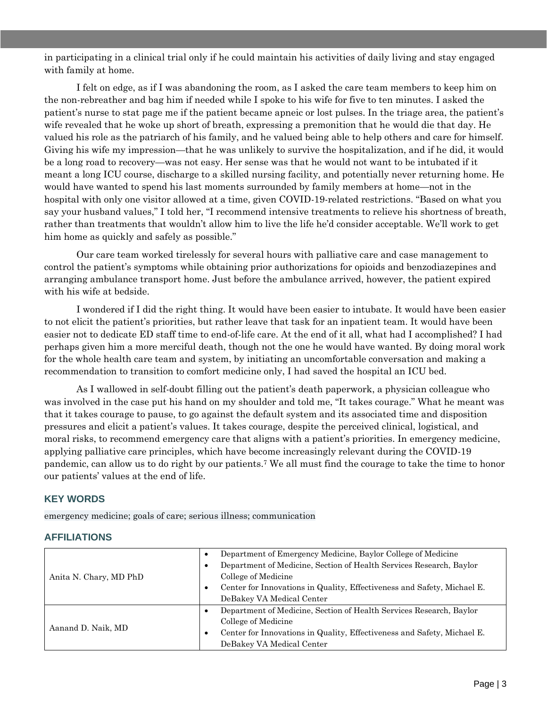in participating in a clinical trial only if he could maintain his activities of daily living and stay engaged with family at home.

I felt on edge, as if I was abandoning the room, as I asked the care team members to keep him on the non-rebreather and bag him if needed while I spoke to his wife for five to ten minutes. I asked the patient's nurse to stat page me if the patient became apneic or lost pulses. In the triage area, the patient's wife revealed that he woke up short of breath, expressing a premonition that he would die that day. He valued his role as the patriarch of his family, and he valued being able to help others and care for himself. Giving his wife my impression—that he was unlikely to survive the hospitalization, and if he did, it would be a long road to recovery—was not easy. Her sense was that he would not want to be intubated if it meant a long ICU course, discharge to a skilled nursing facility, and potentially never returning home. He would have wanted to spend his last moments surrounded by family members at home—not in the hospital with only one visitor allowed at a time, given COVID-19-related restrictions. "Based on what you say your husband values," I told her, "I recommend intensive treatments to relieve his shortness of breath, rather than treatments that wouldn't allow him to live the life he'd consider acceptable. We'll work to get him home as quickly and safely as possible."

Our care team worked tirelessly for several hours with palliative care and case management to control the patient's symptoms while obtaining prior authorizations for opioids and benzodiazepines and arranging ambulance transport home. Just before the ambulance arrived, however, the patient expired with his wife at bedside.

I wondered if I did the right thing. It would have been easier to intubate. It would have been easier to not elicit the patient's priorities, but rather leave that task for an inpatient team. It would have been easier not to dedicate ED staff time to end-of-life care. At the end of it all, what had I accomplished? I had perhaps given him a more merciful death, though not the one he would have wanted. By doing moral work for the whole health care team and system, by initiating an uncomfortable conversation and making a recommendation to transition to comfort medicine only, I had saved the hospital an ICU bed.

As I wallowed in self-doubt filling out the patient's death paperwork, a physician colleague who was involved in the case put his hand on my shoulder and told me, "It takes courage." What he meant was that it takes courage to pause, to go against the default system and its associated time and disposition pressures and elicit a patient's values. It takes courage, despite the perceived clinical, logistical, and moral risks, to recommend emergency care that aligns with a patient's priorities. In emergency medicine, applying palliative care principles, which have become increasingly relevant during the COVID-19 pandemic, can allow us to do right by our patients.<sup>7</sup> We all must find the courage to take the time to honor our patients' values at the end of life.

#### **KEY WORDS**

emergency medicine; goals of care; serious illness; communication

#### **AFFILIATIONS**

| Anita N. Chary, MD PhD | $\bullet$ | Department of Emergency Medicine, Baylor College of Medicine            |
|------------------------|-----------|-------------------------------------------------------------------------|
|                        |           | Department of Medicine, Section of Health Services Research, Baylor     |
|                        |           | College of Medicine                                                     |
|                        |           | Center for Innovations in Quality, Effectiveness and Safety, Michael E. |
|                        |           | DeBakey VA Medical Center                                               |
| Aanand D. Naik, MD     |           | Department of Medicine, Section of Health Services Research, Baylor     |
|                        |           | College of Medicine                                                     |
|                        |           | Center for Innovations in Quality, Effectiveness and Safety, Michael E. |
|                        |           | DeBakey VA Medical Center                                               |